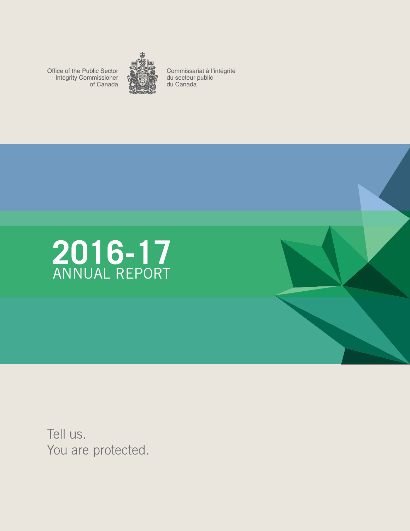Office of the Public Sector Integrity Commissioner of Canada



Commissariat à l'intégrité du secteur public du Canada



Tell us. You are protected.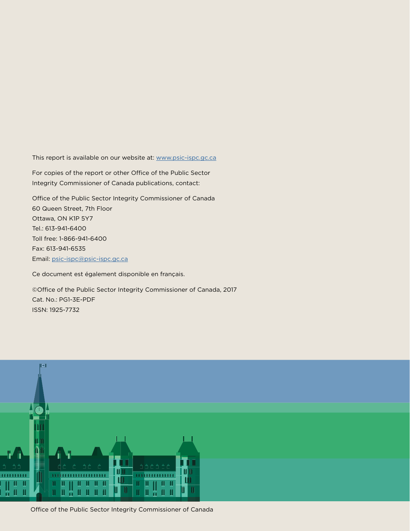This report is available on our website at: [www.psic-ispc.gc.ca](http://www.psic-ispc.gc.ca)

For copies of the report or other Office of the Public Sector Integrity Commissioner of Canada publications, contact:

Office of the Public Sector Integrity Commissioner of Canada 60 Queen Street, 7th Floor Ottawa, ON K1P 5Y7 Tel.: 613-941-6400 Toll free: 1-866-941-6400 Fax: 613-941-6535 Email: [psic-ispc@psic-ispc.gc.ca](mailto:psic-ispc@psic-ispc.gc.ca)

Ce document est également disponible en français.

©Office of the Public Sector Integrity Commissioner of Canada, 2017 Cat. No.: PG1-3E-PDF ISSN: 1925-7732



Office of the Public Sector Integrity Commissioner of Canada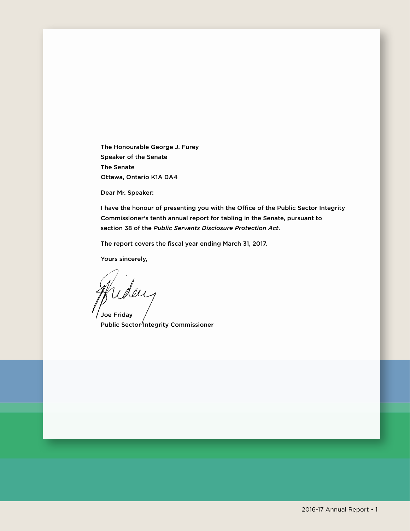The Honourable George J. Furey Speaker of the Senate The Senate Ottawa, Ontario K1A 0A4

Dear Mr. Speaker:

I have the honour of presenting you with the Office of the Public Sector Integrity Commissioner's tenth annual report for tabling in the Senate, pursuant to section 38 of the *Public Servants Disclosure Protection Act*.

The report covers the fiscal year ending March 31, 2017.

Yours sincerely,

iday Joe Friday

Public Sector<sup>/</sup>Integrity Commissioner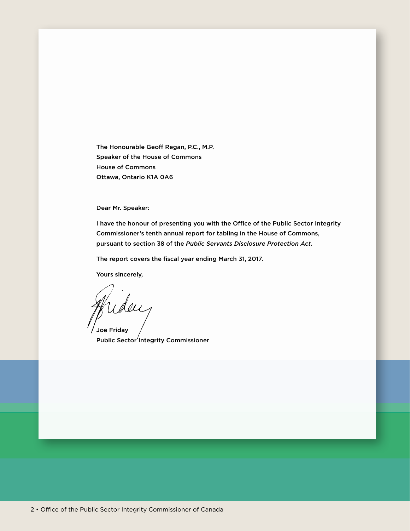The Honourable Geoff Regan, P.C., M.P. Speaker of the House of Commons House of Commons Ottawa, Ontario K1A 0A6

Dear Mr. Speaker:

I have the honour of presenting you with the Office of the Public Sector Integrity Commissioner's tenth annual report for tabling in the House of Commons, pursuant to section 38 of the *Public Servants Disclosure Protection Act*.

The report covers the fiscal year ending March 31, 2017.

Yours sincerely,

uday Joe Friday

Public Sector<sup>'</sup>Integrity Commissioner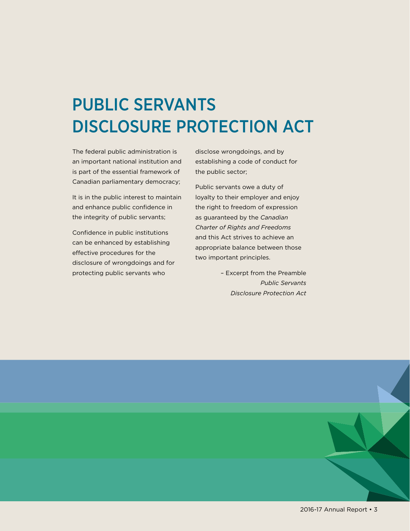# PUBLIC SERVANTS DISCLOSURE PROTECTION ACT

The federal public administration is disclose wrongdoings, and by an important national institution and establishing a code of conduct for is part of the essential framework of the public sector; Canadian parliamentary democracy; Public servants owe a duty of

and enhance public confidence in the right to freedom of expression the integrity of public servants; as guaranteed by the *Canadian* 

enhanced by establishing appropriate balance between those<br>effective procedures for the two important principles.<br>disclosure of wrongdoings and for protecting public servants who – Excerpt from the Preamble

It is in the public interest to maintain loyalty to their employer and enjoy **Charter of Rights and Freedoms**<br> **Charter of Rights and Freedoms**<br>
and this Act strives to achieve an<br>
determined by establishing

> *Public Servants Disclosure Protection Act*



2016-17 Annual Report • 3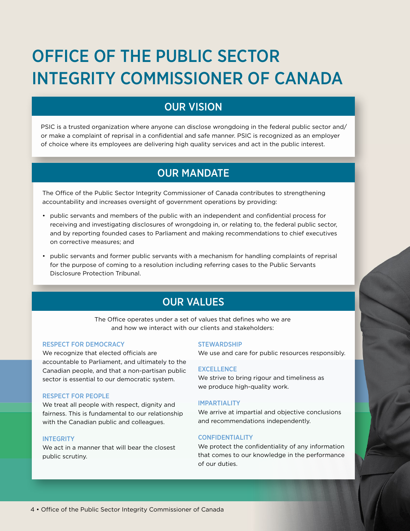# OFFICE OF THE PUBLIC SECTOR INTEGRITY COMMISSIONER OF CANADA

## OUR VISION

PSIC is a trusted organization where anyone can disclose wrongdoing in the federal public sector and/ or make a complaint of reprisal in a confidential and safe manner. PSIC is recognized as an employer of choice where its employees are delivering high quality services and act in the public interest.

## OUR MANDATE

The Office of the Public Sector Integrity Commissioner of Canada contributes to strengthening accountability and increases oversight of government operations by providing:

- public servants and members of the public with an independent and confidential process for receiving and investigating disclosures of wrongdoing in, or relating to, the federal public sector, and by reporting founded cases to Parliament and making recommendations to chief executives on corrective measures; and
- public servants and former public servants with a mechanism for handling complaints of reprisal for the purpose of coming to a resolution including referring cases to the Public Servants Disclosure Protection Tribunal.

# OUR VALUES

The Office operates under a set of values that defines who we are and how we interact with our clients and stakeholders:

### RESPECT FOR DEMOCRACY

We recognize that elected officials are accountable to Parliament, and ultimately to the Canadian people, and that a non-partisan public sector is essential to our democratic system.

#### RESPECT FOR PEOPLE

We treat all people with respect, dignity and fairness. This is fundamental to our relationship with the Canadian public and colleagues.

#### **INTEGRITY**

We act in a manner that will bear the closest public scrutiny.

#### **STEWARDSHIP**

We use and care for public resources responsibly.

#### **EXCELLENCE**

We strive to bring rigour and timeliness as we produce high-quality work.

#### IMPARTIALITY

We arrive at impartial and objective conclusions and recommendations independently.

#### CONFIDENTIALITY

We protect the confidentiality of any information that comes to our knowledge in the performance of our duties.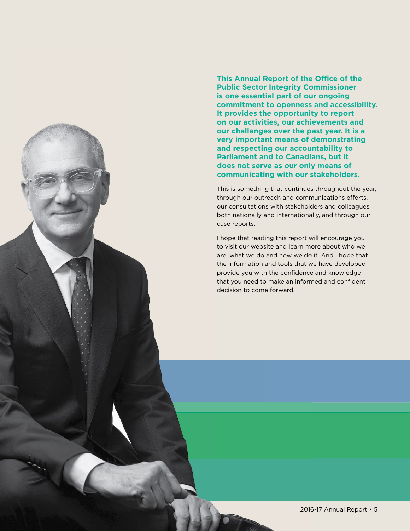**This Annual Report of the Office of the Public Sector Integrity Commissioner is one essential part of our ongoing commitment to openness and accessibility. It provides the opportunity to report on our activities, our achievements and our challenges over the past year. It is a very important means of demonstrating and respecting our accountability to Parliament and to Canadians, but it does not serve as our only means of communicating with our stakeholders.** 

This is something that continues throughout the year, through our outreach and communications efforts, our consultations with stakeholders and colleagues both nationally and internationally, and through our case reports.

I hope that reading this report will encourage you to visit our website and learn more about who we are, what we do and how we do it. And I hope that the information and tools that we have developed provide you with the confidence and knowledge that you need to make an informed and confident decision to come forward.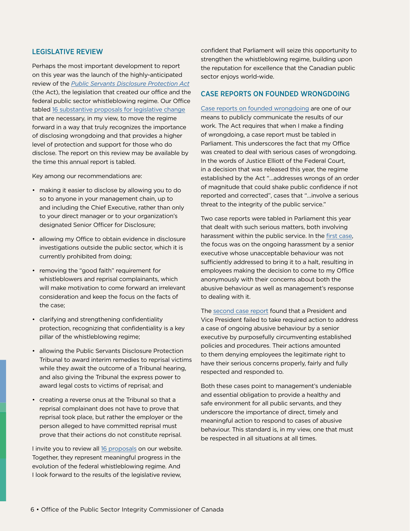## LEGISLATIVE REVIEW

Perhaps the most important development to report on this year was the launch of the highly-anticipated review of the *[Public Servants Disclosure Protection Act](http://laws-lois.justice.gc.ca/eng/acts/P-31.9/FullText.html)*  (the Act), the legislation that created our office and the federal public sector whistleblowing regime. Our Office tabled [16 substantive proposals for legislative change](http://www.psic-ispc.gc.ca/eng/resources/proposal-legislative-amendments)  that are necessary, in my view, to move the regime forward in a way that truly recognizes the importance of disclosing wrongdoing and that provides a higher level of protection and support for those who do disclose. The report on this review may be available by the time this annual report is tabled.

Key among our recommendations are:

- making it easier to disclose by allowing you to do so to anyone in your management chain, up to and including the Chief Executive, rather than only to your direct manager or to your organization's designated Senior Officer for Disclosure;
- allowing my Office to obtain evidence in disclosure investigations outside the public sector, which it is currently prohibited from doing;
- • removing the "good faith" requirement for whistleblowers and reprisal complainants, which will make motivation to come forward an irrelevant consideration and keep the focus on the facts of the case;
- • clarifying and strengthening confidentiality protection, recognizing that confidentiality is a key pillar of the whistleblowing regime;
- allowing the Public Servants Disclosure Protection Tribunal to award interim remedies to reprisal victims while they await the outcome of a Tribunal hearing, and also giving the Tribunal the express power to award legal costs to victims of reprisal; and
- creating a reverse onus at the Tribunal so that a reprisal complainant does not have to prove that reprisal took place, but rather the employer or the person alleged to have committed reprisal must prove that their actions do not constitute reprisal.

I invite you to review all [16 proposals](http://www.psic-ispc.gc.ca/eng/resources/proposal-legislative-amendments) on our website. Together, they represent meaningful progress in the evolution of the federal whistleblowing regime. And I look forward to the results of the legislative review,

confident that Parliament will seize this opportunity to strengthen the whistleblowing regime, building upon the reputation for excellence that the Canadian public sector enjoys world-wide.

### CASE REPORTS ON FOUNDED WRONGDOING

[Case reports on founded wrongdoing](http://www.psic-ispc.gc.ca/eng/results/case-reports) are one of our means to publicly communicate the results of our work. The Act requires that when I make a finding of wrongdoing, a case report must be tabled in Parliament. This underscores the fact that my Office was created to deal with serious cases of wrongdoing. In the words of Justice Elliott of the Federal Court, in a decision that was released this year, the regime established by the Act "…addresses wrongs of an order of magnitude that could shake public confidence if not reported and corrected", cases that "…involve a serious threat to the integrity of the public service."

Two case reports were tabled in Parliament this year that dealt with such serious matters, both involving harassment within the public service. In the [first case,](http://www.psic-ispc.gc.ca/eng/results/case-report-public-health-agency-canada) the focus was on the ongoing harassment by a senior executive whose unacceptable behaviour was not sufficiently addressed to bring it to a halt, resulting in employees making the decision to come to my Office anonymously with their concerns about both the abusive behaviour as well as management's response to dealing with it.

The [second case report](http://www.psic-ispc.gc.ca/eng/results/case-report-canadian-food-inspection-agency) found that a President and Vice President failed to take required action to address a case of ongoing abusive behaviour by a senior executive by purposefully circumventing established policies and procedures. Their actions amounted to them denying employees the legitimate right to have their serious concerns properly, fairly and fully respected and responded to.

Both these cases point to management's undeniable and essential obligation to provide a healthy and safe environment for all public servants, and they underscore the importance of direct, timely and meaningful action to respond to cases of abusive behaviour. This standard is, in my view, one that must be respected in all situations at all times.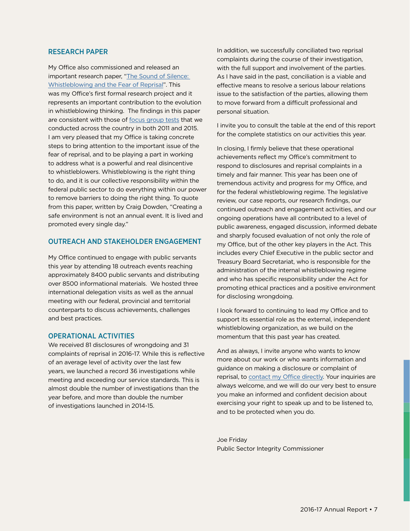## RESEARCH PAPER

My Office also commissioned and released an important research paper, ["The Sound of Silence:](http://www.psic-ispc.gc.ca/eng/about-us/corporate-publications/sound-silence)  [Whistleblowing and the Fear of Reprisal"](http://www.psic-ispc.gc.ca/eng/about-us/corporate-publications/sound-silence). This was my Office's first formal research project and it represents an important contribution to the evolution in whistleblowing thinking. The findings in this paper are consistent with those of [focus group tests](http://epe.lac-bac.gc.ca/100/200/301/pwgsc-tpsgc/por-ef/office_public_sector_integrity_commissioner/2016/2015-12-e/report.pdf) that we conducted across the country in both 2011 and 2015. I am very pleased that my Office is taking concrete steps to bring attention to the important issue of the fear of reprisal, and to be playing a part in working to address what is a powerful and real disincentive to whistleblowers. Whistleblowing is the right thing to do, and it is our collective responsibility within the federal public sector to do everything within our power to remove barriers to doing the right thing. To quote from this paper, written by Craig Dowden, "Creating a safe environment is not an annual event. It is lived and promoted every single day."

#### OUTREACH AND STAKEHOLDER ENGAGEMENT

My Office continued to engage with public servants this year by attending 18 outreach events reaching approximately 8400 public servants and distributing over 8500 informational materials. We hosted three international delegation visits as well as the annual meeting with our federal, provincial and territorial counterparts to discuss achievements, challenges and best practices.

#### OPERATIONAL ACTIVITIES

We received 81 disclosures of wrongdoing and 31 complaints of reprisal in 2016-17. While this is reflective of an average level of activity over the last few years, we launched a record 36 investigations while meeting and exceeding our service standards. This is almost double the number of investigations than the year before, and more than double the number of investigations launched in 2014-15.

In addition, we successfully conciliated two reprisal complaints during the course of their investigation, with the full support and involvement of the parties. As I have said in the past, conciliation is a viable and effective means to resolve a serious labour relations issue to the satisfaction of the parties, allowing them to move forward from a difficult professional and personal situation.

I invite you to consult the table at the end of this report for the complete statistics on our activities this year.

In closing, I firmly believe that these operational achievements reflect my Office's commitment to respond to disclosures and reprisal complaints in a timely and fair manner. This year has been one of tremendous activity and progress for my Office, and for the federal whistleblowing regime. The legislative review, our case reports, our research findings, our continued outreach and engagement activities, and our ongoing operations have all contributed to a level of public awareness, engaged discussion, informed debate and sharply focused evaluation of not only the role of my Office, but of the other key players in the Act. This includes every Chief Executive in the public sector and Treasury Board Secretariat, who is responsible for the administration of the internal whistleblowing regime and who has specific responsibility under the Act for promoting ethical practices and a positive environment for disclosing wrongdoing.

I look forward to continuing to lead my Office and to support its essential role as the external, independent whistleblowing organization, as we build on the momentum that this past year has created.

And as always, I invite anyone who wants to know more about our work or who wants information and guidance on making a disclosure or complaint of reprisal, to [contact my Office directly](http://www.psic-ispc.gc.ca/eng/about-us/office-coordinates). Your inquiries are always welcome, and we will do our very best to ensure you make an informed and confident decision about exercising your right to speak up and to be listened to, and to be protected when you do.

Joe Friday Public Sector Integrity Commissioner